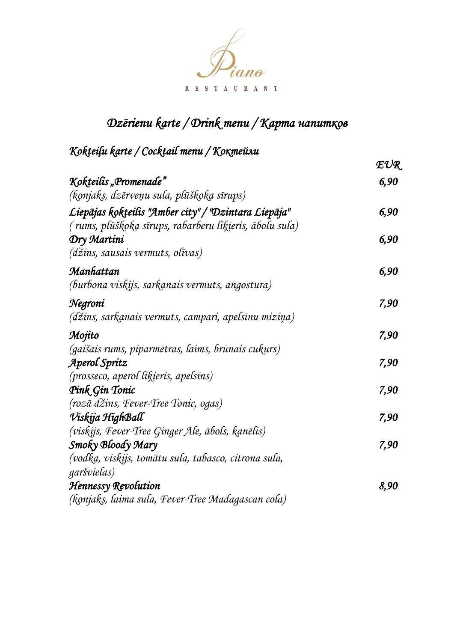

## *Dzērienu karte / Drink menu / Kapта напитков*

### *Kokteiļu karte / Cocktail menu / Коктейли*

|                                                         | $\mathcal{F}\mathcal{V}\mathcal{R}$ |
|---------------------------------------------------------|-------------------------------------|
| Kokteilis "Promenade"                                   | 6,90                                |
| (konjaks, dzērveņu sula, plūškoka sīrups)               |                                     |
| Liepājas kokteilis "Amber city" / "Dzintara Liepāja"    | 6,90                                |
| (rums, plūškoka sīrups, rabarberu liķieris, ābolu sula) |                                     |
| Dry Martini                                             | 6,90                                |
| $(d\breve{z}$ ins, sausais vermuts, olīvas)             |                                     |
| Manhattan                                               | 6,90                                |
| (burbona viskijs, sarkanais vermuts, angostura)         |                                     |
| Negroni                                                 | 7,90                                |
| (džins, sarkanais vermuts, campari, apelsīnu miziņa)    |                                     |
| Mojito                                                  | 7,90                                |
| (gaišais rums, piparmētras, laims, brūnais cukurs)      |                                     |
| Aperol Spritz                                           | 7,90                                |
| (prosseco, aperol likieris, apelsīns)                   |                                     |
| Pink Gin Tonic                                          | 7,90                                |
| (rozā džins, Fever-Tree Tonic, ogas)                    |                                     |
| Viskija HighBall                                        | 7,90                                |
| (viskijs, Fever-Tree Ginger Ale, ābols, kanēlis)        |                                     |
| Smoky Bloody Mary                                       | 7,90                                |
| (vodka, viskijs, tomātu sula, tabasco, citrona sula,    |                                     |
| garšvielas)                                             |                                     |
| <b>Hennessy Revolution</b>                              | 8,90                                |
| (konjaks, laima sula, Fever-Tree Madagascan cola)       |                                     |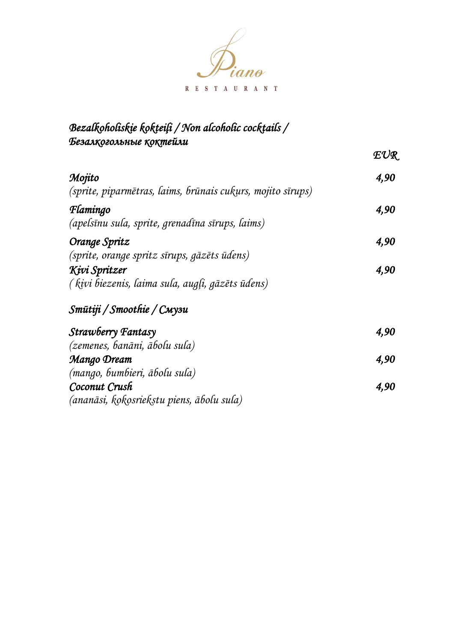

#### *Bezalkoholiskie kokteiļi / Non alcoholic cocktails / Безалкогольные коктейли EUR Mojito (sprite, piparmētras, laims, brūnais cukurs, mojito sīrups) 4,90 Flamingo (apelsīnu sula, sprite, grenadīna sīrups, laims) 4,90 Orange Spritz (sprite, orange spritz sīrups, gāzēts ūdens) 4,90 Kivi Spritzer ( kivi biezenis, laima sula, augļi, gāzēts ūdens) 4,90 Smūtiji / Smoothie / Смузи Strawberry Fantasy (zemenes, banāni, ābolu sula) 4,90 Mango Dream (mango, bumbieri, ābolu sula) 4,90 Coconut Crush (ananāsi, kokosriekstu piens, ābolu sula) 4,90*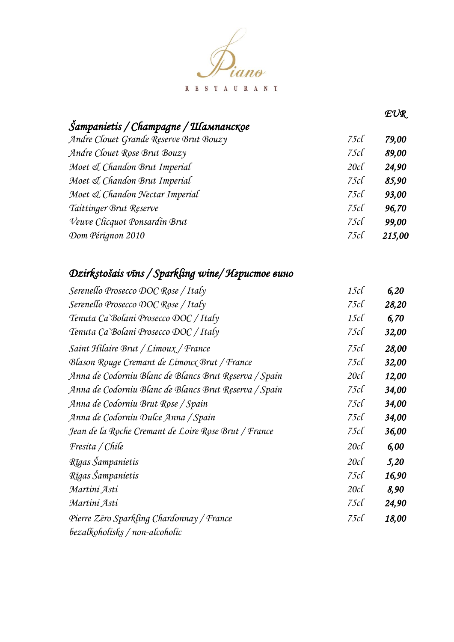

| Sampanietis / Champagne / Шампансқое   |     |       |
|----------------------------------------|-----|-------|
| Andre Clouet Grande Reserve Brut Bouzy | 75c | 79,00 |
| Andre Clouet Rose Brut Bouzy           | 75c | 89,00 |
| Moet & Chandon Brut Imperial           | 20c | 24,90 |
| Moet & Chandon Brut Imperial           | 75c | 85,90 |
| Moet & Chandon Nectar Imperial         | 75c | 93,00 |
| Taittinger Brut Reserve                | 75c | 96,70 |
| Veuve Clicquot Ponsardin Brut          | 75c | 99,00 |

*EUR* 

*215,00* 

*75cl*

## *Dzirkstošais vīns / Sparkling wine/ Игристое вино*

*Dom Pérignon 2010*

| Serenello Prosecco DOC Rose / Italy                   | 15c       | 6,20  |
|-------------------------------------------------------|-----------|-------|
| Serenello Prosecco DOC Rose / Italy                   | 75c       | 28,20 |
| Tenuta Ca'Bolani Prosecco DOC / Italy                 | $15c\ell$ | 6,70  |
| Tenuta Ca'Bolani Prosecco DOC / Italy                 | 75c       | 32,00 |
| Saint Hilaire Brut / Limoux / France                  | 75c       | 28,00 |
| Blason Rouge Cremant de Limoux Brut / France          | 75c       | 32,00 |
| Anna de Codorniu Blanc de Blancs Brut Reserva / Spain | $20c\ell$ | 12,00 |
| Anna de Codorniu Blanc de Blancs Brut Reserva / Spain | 75c       | 34,00 |
| Anna de Codorniu Brut Rose / Spain                    | 75cl      | 34,00 |
| Anna de Codorniu Dulce Anna / Spain                   | 75c       | 34,00 |
| Jean de la Roche Cremant de Loire Rose Brut / France  | 75c       | 36,00 |
| Fresita / Chile                                       | $20c\ell$ | 6,00  |
| Rīgas Šampanietis                                     | 20c       | 5,20  |
| Rīgas Šampanietis                                     | 75cl      | 16,90 |
| Martini Asti                                          | 20c       | 8,90  |
| Martini Asti                                          | 75c       | 24,90 |
| Pierre Zēro Sparkling Chardonnay / France             | 75c       | 18,00 |
| bezalkoholisks / non-alcoholic                        |           |       |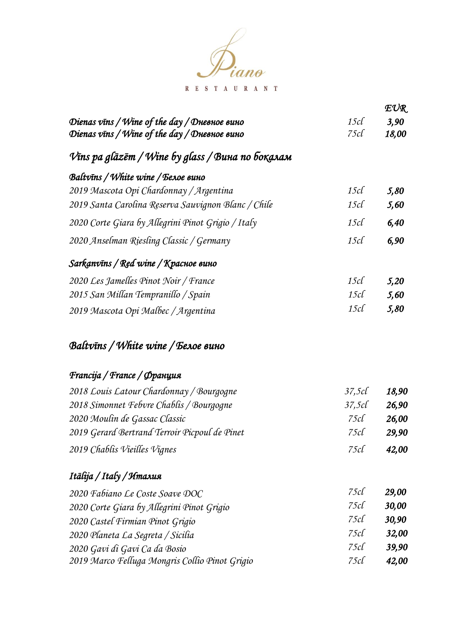

|                                                     |           | $\mathcal{F}\mathcal{V}\mathcal{R}_1$ |
|-----------------------------------------------------|-----------|---------------------------------------|
| Dienas vīns / Wine of the day / Дневное вино        | $15c\ell$ | 3,90                                  |
| Dienas vīns / Wine of the day / Дневное вино        | 75c       | 18,00                                 |
| Vīns pa glāzēm / Wine by glass / Вина по боқалам    |           |                                       |
| Baltvīns / White wine / Белое вино                  |           |                                       |
| 2019 Mascota Opi Chardonnay / Argentina             | $15c\ell$ | 5,80                                  |
| 2019 Santa Carolina Reserva Sauvignon Blanc / Chile | $15c\ell$ | 5,60                                  |
| 2020 Corte Giara by Allegrini Pinot Grigio / Italy  | $15c\ell$ | 6,40                                  |
| 2020 Anselman Riesling Classic / Germany            | 15c       | 6,90                                  |
| Sarkanvīns / Red wine / Красное вино                |           |                                       |
| 2020 Les Jamelles Pinot Noir / France               | $15c\ell$ | 5,20                                  |
| 2015 San Millan Tempranillo / Spain                 | $15c\ell$ | 5,60                                  |
| 2019 Mascota Opi Malbec / Argentina                 | $15c\ell$ | 5,80                                  |
| Baltvīns / White wine / Белое вино                  |           |                                       |
| Francija / France / Франция                         |           |                                       |
| 2018 Louis Latour Chardonnay / Bourgogne            | 37,5c     | 18,90                                 |
| 2018 Simonnet Febvre Chablis / Bourgogne            | 37,5c     | 26,90                                 |
| 2020 Moulin de Gassac Classic                       | 75cl      | 26,00                                 |
| 2019 Gerard Bertrand Terroir Picpoul de Pinet       | 75c       | 29,90                                 |
| 2019 Chablis Vieilles Vignes                        | 75c       | 42,00                                 |
| Itālija / Italy / Италия                            |           |                                       |
| 2020 Fabiano Le Coste Soave DOC                     | 75c       | 29,00                                 |
| 2020 Corte Giara by Allegrini Pinot Grigio          | 75c       | 30,00                                 |
| 2020 Castel Firmian Pinot Grigio                    | 75c       | 30,90                                 |
| 2020 Planeta La Segreta / Sicilia                   | 75c       | 32,00                                 |
| 2020 Gavi di Gavi Ca da Bosio                       | 75c       | 39,90                                 |
| 2019 Marco Felluga Mongris Collio Pinot Grigio      | 75c       | 42,00                                 |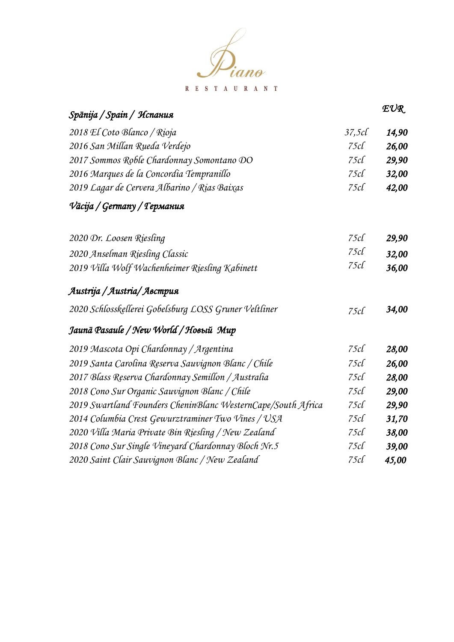

| Spānija / Spain / Испания                                    |       | EUR   |
|--------------------------------------------------------------|-------|-------|
| 2018 El Coto Blanco / Rioja                                  | 37,5c | 14,90 |
| 2016 San Millan Rueda Verdejo                                | 75c   | 26,00 |
| 2017 Sommos Roble Chardonnay Somontano DO                    | 75c   | 29,90 |
| 2016 Marques de la Concordia Tempranillo                     | 75c   | 32,00 |
| 2019 Lagar de Cervera Albarino / Rias Baixas                 | 75c   | 42,00 |
| Vācija / Germany / Германия                                  |       |       |
| 2020 Dr. Loosen Riesling                                     | 75c   | 29,90 |
| 2020 Anselman Riesling Classic                               | 75c   | 32,00 |
| 2019 Villa Wolf Wachenheimer Riesling Kabinett               | 75c   | 36,00 |
| Austrija / Austria/ Австрия                                  |       |       |
| 2020 Schlosskellerei Gobelsburg LOSS Gruner Veltliner        | 75c   | 34,00 |
| Jaunā Pasaule / New World / Новый Мир                        |       |       |
| 2019 Mascota Opi Chardonnay / Argentina                      | 75c   | 28,00 |
| 2019 Santa Carolina Reserva Sauvignon Blanc / Chile          | 75c   | 26,00 |
| 2017 Blass Reserva Chardonnay Semillon / Australia           | 75c   | 28,00 |
| 2018 Cono Sur Organic Sauvignon Blanc / Chile                | 75c   | 29,00 |
| 2019 Swartland Founders CheninBlanc WesternCape/South Africa | 75c   | 29,90 |
| 2014 Columbia Crest Gewurztraminer Two Vines / USA           | 75c   | 31,70 |
| 2020 Villa Maria Private Bin Riesling / New Zealand          | 75c   | 38,00 |
| 2018 Cono Sur Single Vineyard Chardonnay Bloch Nr.5          | 75c   | 39,00 |
| 2020 Saint Clair Sauvignon Blanc / New Zealand               | 75c   | 45,00 |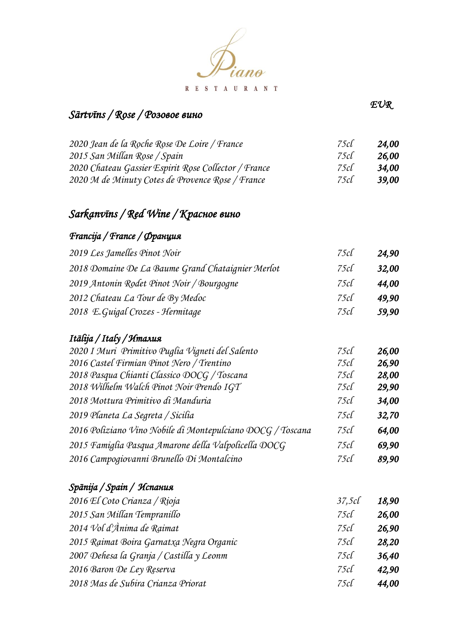

### *Sārtvīns / Rose / Розовое вино*

*EUR* 

| 75c  | 24.00        |
|------|--------------|
| 75c  | 26.00        |
| 75cl | 34.00        |
| 75cl | <b>39.00</b> |
|      |              |

### *Sarkanvīns / Red Wine / Красное вино*

### *Francija / France / Франция*

| 2019 Les Jamelles Pinot Noir                      | 75cl | 24.90        |
|---------------------------------------------------|------|--------------|
| 2018 Domaine De La Baume Grand Chataignier Merlot | 75c  | <b>32,00</b> |
| 2019 Antonin Rodet Pinot Noir / Bourgogne         | 75c  | 44.00        |
| 2012 Chateau La Tour de By Medoc                  | 75c  | 49.90        |
| 2018 E.Guigal Crozes - Hermitage                  | 75c  | 59,90        |

#### *Itālija / Italy / Италия*

| 2020 I Muri Primitivo Puglia Vigneti del Salento           | 75cl | 26,00 |
|------------------------------------------------------------|------|-------|
| 2016 Castel Firmian Pinot Nero / Trentino                  | 75c  | 26,90 |
| 2018 Pasqua Chianti Classico DOCG / Toscana                | 75c  | 28,00 |
| 2018 Wilhelm Walch Pinot Noir Prendo IGT                   | 75c  | 29,90 |
| 2018 Mottura Primitivo di Manduria                         | 75c  | 34,00 |
| 2019 Planeta La Segreta / Sicilia                          | 75c  | 32,70 |
| 2016 Poliziano Vino Nobile di Montepulciano DOCG / Toscana | 75c  | 64,00 |
| 2015 Famiglia Pasqua Amarone della Valpolicella DOCG       | 75c  | 69,90 |
| 2016 Campogiovanni Brunello Di Montalcino                  | 75c  | 89,90 |

#### *Spānija / Spain / Испания*

| 2016 El Coto Crianza / Rioja             | 37,5c | 18,90 |
|------------------------------------------|-------|-------|
| 2015 San Millan Tempranillo              | 75c   | 26,00 |
| 2014 Vol d'Ànima de Raimat               | 75c   | 26,90 |
| 2015 Raimat Boira Garnatxa Negra Organic | 75c   | 28,20 |
| 2007 Dehesa la Granja / Castilla y Leonm | 75c   | 36,40 |
| 2016 Baron De Ley Reserva                | 75c   | 42,90 |
| 2018 Mas de Subira Crianza Priorat       | 75c   | 44,00 |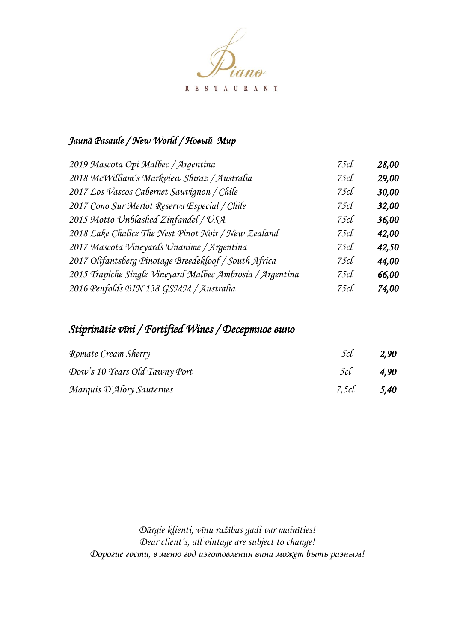

#### *Jaunā Pasaule / New World / Новый Мир*

| 2019 Mascota Opi Malbec / Argentina                       | 75c | 28,00 |
|-----------------------------------------------------------|-----|-------|
| 2018 McWilliam's Markview Shiraz / Australia              | 75c | 29,00 |
| 2017 Los Vascos Cabernet Sauvignon / Chile                | 75c | 30,00 |
| 2017 Cono Sur Merlot Reserva Especial / Chile             | 75c | 32,00 |
| 2015 Motto Unblashed Zinfandel / USA                      | 75c | 36,00 |
| 2018 Lake Chalice The Nest Pinot Noir / New Zealand       | 75c | 42,00 |
| 2017 Mascota Vineyards Unanime / Argentina                | 75c | 42,50 |
| 2017 Olifantsberg Pinotage Breedekloof / South Africa     | 75c | 44,00 |
| 2015 Trapiche Single Vineyard Malbec Ambrosia / Argentina | 75c | 66,00 |
| 2016 Penfolds BIN 138 GSMM / Australia                    | 75c | 74,00 |

### *Stiprinātie vīni / Fortified Wines / Десертное вино*

| Romate Cream Sherry           | 5cl        | 2,90 |
|-------------------------------|------------|------|
| Dow's 10 Years Old Tawny Port | $5c$ 4,90  |      |
| Marquis D'Alory Sauternes     | 7,5cl 5,40 |      |

*Dārgie klienti, vīnu ražības gadi var mainīties! Dear client's, all vintage are subject to change! Дорогие гости, в меню год изготовления вина может быть разным!*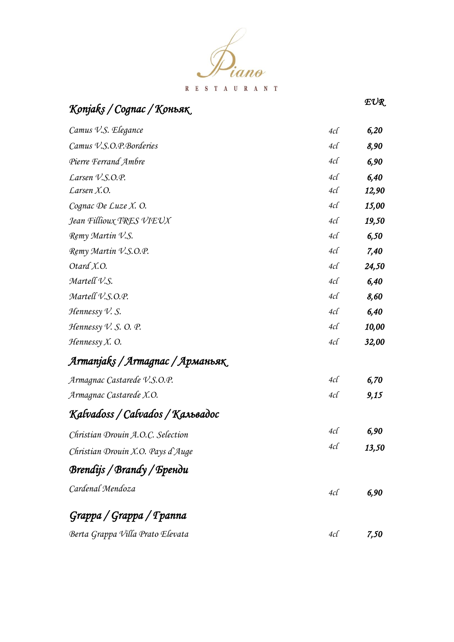

| Konjaks / Cognac / Коньяк           |          | ΈΟΊΛ. |
|-------------------------------------|----------|-------|
| Camus V.S. Elegance                 | 4cl      | 6,20  |
| Camus V.S.O.P.Borderies             | 4cl      | 8,90  |
| Pierre Ferrand Ambre                | 4cl      | 6,90  |
| Larsen V.S.O.P.                     | $4c\ell$ | 6,40  |
| Larsen X.O.                         | 4cl      | 12,90 |
| Cognac De Luze X. O.                | 4cl      | 15,00 |
| Jean Fillioux TRES VIEUX            | $4c\ell$ | 19,50 |
| Remy Martin V.S.                    | 4cl      | 6,50  |
| Remy Martin V.S.O.P.                | 4cl      | 7,40  |
| Otard X.O.                          | $4c\ell$ | 24,50 |
| Martell V.S.                        | 4cl      | 6,40  |
| Martell V.S.O.P.                    | 4cl      | 8,60  |
| Hennessy $V. S.$                    | 4cl      | 6,40  |
| Hennessy $V.$ S. O. P.              | 4cl      | 10,00 |
| $H$ ennessy $X$ . O.                | 4cl      | 32,00 |
| Armanjaks / Armagnac / Арманьяк     |          |       |
| Armagnac Castarede V.S.O.P.         | 4cl      | 6,70  |
| Armagnac Castarede X.O.             | 4cl      | 9,15  |
| Kalvadoss / Calvados / Кальвадос    |          |       |
| Christian Drouin A.O.C. Selection   | 4cl      | 6,90  |
| Christian Drouin X.O. Pays $d$ Auge | $4c\ell$ | 13,50 |
| Brendijs / Brandy / Бренди          |          |       |
| Cardenal Mendoza                    | 4cl      | 6,90  |
| Grappa / Grappa / Tpanna            |          |       |
| Berta Grappa Villa Prato Elevata    | 4cl      | 7,50  |

 $F(\mathcal{L})$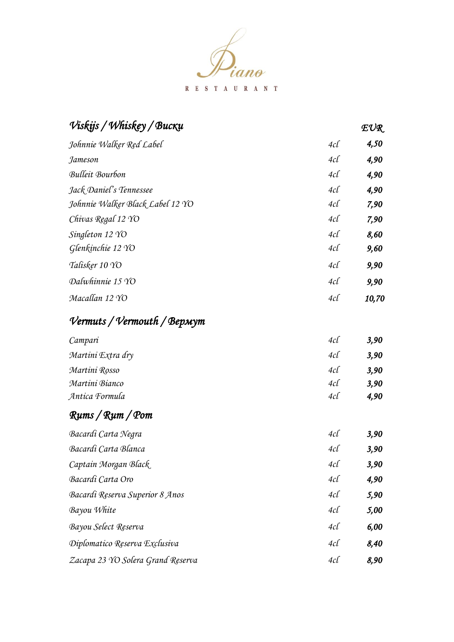

| Viskijs / Whiskey / Bucku         |          | EUR   |  |
|-----------------------------------|----------|-------|--|
| Johnnie Walker Red Label          | 4cl      | 4,50  |  |
| Jameson                           | 4cl      | 4,90  |  |
| <b>Bulleit Bourbon</b>            | $4c\ell$ | 4,90  |  |
| Jack Daniel's Tennessee           | $4c\ell$ | 4,90  |  |
| Johnnie Walker Black Label 12 YO  | $4c\ell$ | 7,90  |  |
| Chivas Regal 12 YO                | $4c\ell$ | 7,90  |  |
| Singleton 12 YO                   | $4c\ell$ | 8,60  |  |
| Glenkinchie 12 YO                 | 4cl      | 9,60  |  |
| Talisker 10 YO                    | 4cl      | 9,90  |  |
| Dalwhinnie 15 YO                  | 4cl      | 9,90  |  |
| Macallan 12 YO                    | 4cl      | 10,70 |  |
| Vermuts / Vermouth / Вермут       |          |       |  |
| Campari                           | 4cl      | 3,90  |  |
| Martini Extra dry                 | 4cl      | 3,90  |  |
| Martini Rosso                     | $4c\ell$ | 3,90  |  |
| Martini Bianco                    | 4cl      | 3,90  |  |
| Antica Formula                    | 4cl      | 4,90  |  |
| Runs/Rum/Pom                      |          |       |  |
| Bacardi Carta Negra               | 4cl      | 3,90  |  |
| Bacardi Carta Blanca              | 4cl      | 3,90  |  |
| Captain Morgan Black              | 4c       | 3,90  |  |
| Bacardi Carta Oro                 | 4c       | 4,90  |  |
| Bacardi Reserva Superior 8 Anos   | 4cl      | 5,90  |  |
| Bayou White                       | 4cl      | 5,00  |  |
| Bayou Select Reserva              | $4c\ell$ | 6,00  |  |
| Diplomatico Reserva Exclusiva     | $4c\ell$ | 8,40  |  |
| Zacapa 23 YO Solera Grand Reserva | $4c\ell$ | 8,90  |  |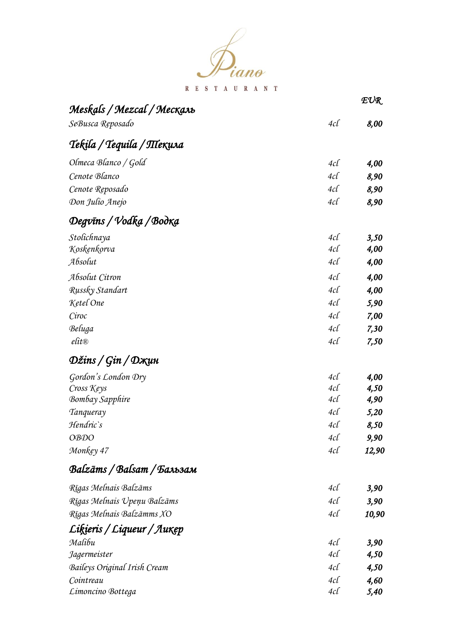

|                               |     | EUR   |
|-------------------------------|-----|-------|
| Meskals / Mezcal / Месқаль    |     |       |
| SeBusca Reposado              | 4cl | 8,00  |
| Tekila / Tequila / Піекила    |     |       |
| Olmeca Blanco / Gold          | 4cl | 4,00  |
| Cenote Blanco                 | 4cl | 8,90  |
| Cenote Reposado               | 4cl | 8,90  |
| Don Julio Anejo               | 4cl | 8,90  |
| Degvīns / Vodka / Bodka       |     |       |
| Stolichnaya                   | 4cl | 3,50  |
| Koskenkorva                   | 4cl | 4,00  |
| Absolut                       | 4cl | 4,00  |
| Absolut Citron                | 4cl | 4,00  |
| Russky Standart               | 4cl | 4,00  |
| Ketel One                     | 4cl | 5,90  |
| Ciroc                         | 4cl | 7,00  |
| Beluga                        | 4cl | 7,30  |
| $_{\ell}$ fit $_{\mathbb{R}}$ | 4cl | 7,50  |
| Džins / Gin / Dҗuн            |     |       |
| Gordon's London Dry           | 4cl | 4,00  |
| Cross Keys                    | 4cl | 4,50  |
| <b>Bombay Sapphire</b>        | 4cl | 4,90  |
| Tanqueray                     | 4cl | 5,20  |
| Hendric`s                     | 4cl | 8,50  |
| <b>OBDO</b>                   | 4cl | 9,90  |
| Monkey 47                     | 4cl | 12,90 |
| Balzāms / Balsam / Бальзам    |     |       |
| Rīgas Melnais Balzāms         | 4cl | 3,90  |
| Rīgas Melnais Upeņu Balzāms   | 4c  | 3,90  |
| Rīgas Melnais Balzāmms XO     | 4cl | 10,90 |
| Liķieris / Liqueur / Ликер    |     |       |
| Malibu                        | 4cl | 3,90  |
| Jagermeister                  | 4cl | 4,50  |
| Baileys Original Irish Cream  | 4cl | 4,50  |
| Cointreau                     | 4cl | 4,60  |
| Limoncino Bottega             | 4cl | 5,40  |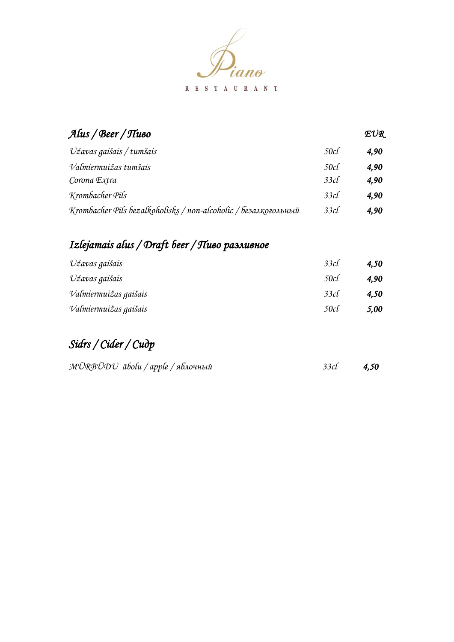

| Alus / Beer / Tluoo                                             |     | EUR  |
|-----------------------------------------------------------------|-----|------|
| Užavas gaišais / tumšais                                        | 50c | 4.90 |
| Valmiermuižas tumšais                                           | 50c | 4.90 |
| Corona Extra                                                    | 33c | 4,90 |
| Krombacher Pils                                                 | 33c | 4.90 |
| Krombacher Pils bezalkoholisks / non-alcoholic / безалкогольный | 33c | 4,90 |

## *Izlejamais alus / Draft beer / Пиво разливное*

| Užavas gaišais        | 33c  | 4,50 |
|-----------------------|------|------|
| Užavas gaišais        | 50cl | 4,90 |
| Valmiermuižas gaišais | 33c  | 4,50 |
| Valmiermuižas gaišais | 50c  | 5,00 |

## *Sidrs / Cider / Сидр*

| MŪRBŪDU ābolu / apple / яблочный |  | $33c1$ $4,50$ |
|----------------------------------|--|---------------|
|                                  |  |               |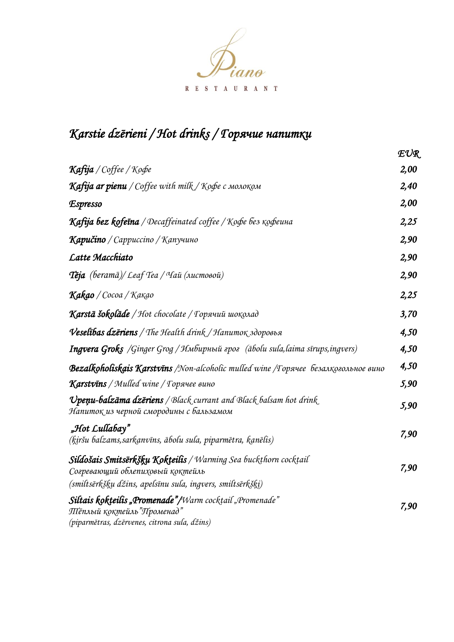

# *Karstie dzērieni / Hot drinks / Горячие напитки*

|                                                                                                                                                                            | EUR  |
|----------------------------------------------------------------------------------------------------------------------------------------------------------------------------|------|
| Kafija / Coffee / Koфe                                                                                                                                                     | 2,00 |
| <b>Каfija ar pienu</b> / Coffee with milk / Кофе с молоком                                                                                                                 | 2,40 |
| Espresso                                                                                                                                                                   | 2,00 |
| Kafija bez kofeīna / Decaffeinated coffee / Koфe bes кофеина                                                                                                               | 2,25 |
| <b>Кариčino</b> / Сарриссіпо / Капучино                                                                                                                                    | 2,90 |
| Latte Macchiato                                                                                                                                                            | 2,90 |
| <b>Теја</b> (beramā)/ Leaf Tea / Чай (листовой)                                                                                                                            | 2,90 |
| K <b>akao</b> / Cocoa / Kakao                                                                                                                                              | 2,25 |
| Karstā šokolāde / Hot chocolate / Торячий шоқолад                                                                                                                          | 3,70 |
| Veselības dzēriens / The Health drink / Напиток здоровья                                                                                                                   | 4,50 |
| Ingvera Groks /Ginger Grog / Имбирный грог (ābolu sula, laima sīrups, ingvers)                                                                                             | 4,50 |
| Bezalkoholiskais Karstvīns /Non-alcoholic mulled wine /Горячее Безалқогольное вино                                                                                         | 4,50 |
| Karstvins / Mulled wine / Торячее вино                                                                                                                                     | 5,90 |
| Upenu-balzāma dzēriens / Black currant and Black balsam hot drink<br>Напитоқ из черной смородины с бальзамом                                                               | 5,90 |
| "Hot Lullabay"<br>(ķiršu balzams, sarkanvīns, ābolu sula, piparmētra, kanēlis)                                                                                             | 7,90 |
| S <b>ildošais Smitsērkšķu Kokteilis</b> / Warming Sea buckthorn cocktail<br>Согревающий облепиховый коктейль<br>(smiltsērkšķu džins, apelsīnu sula, ingvers, smiltsērkšķi) | 7,90 |
| "S <b>iltais kokteilis "Promenade"/</b> Warm cocktail "Promenade<br>ПІ́ёплый қоқтейль"Променад"<br>(piparmētras, dzērvenes, citrona sula, džins)                           | 7,90 |